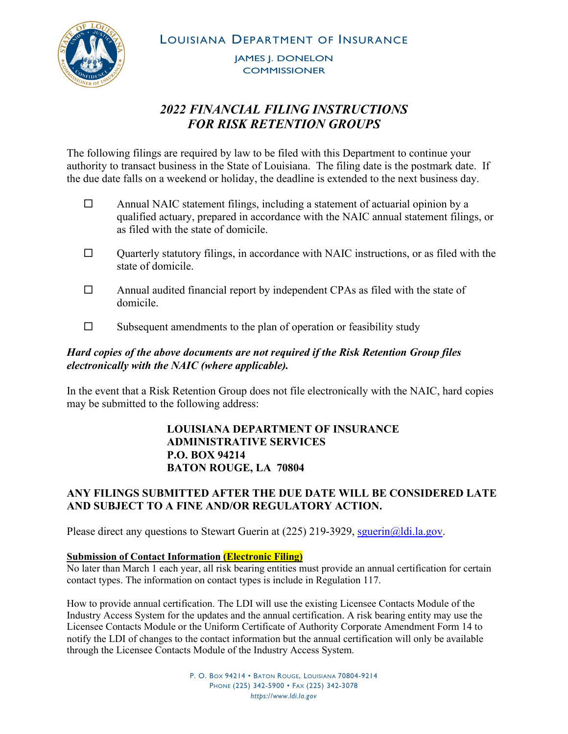LOUISIANA DEPARTMENT OF INSURANCE

JAMES J. DONELON **COMMISSIONER** 

# *2022 FINANCIAL FILING INSTRUCTIONS FOR RISK RETENTION GROUPS*

The following filings are required by law to be filed with this Department to continue your authority to transact business in the State of Louisiana. The filing date is the postmark date. If the due date falls on a weekend or holiday, the deadline is extended to the next business day.

- $\Box$  Annual NAIC statement filings, including a statement of actuarial opinion by a qualified actuary, prepared in accordance with the NAIC annual statement filings, or as filed with the state of domicile.
- $\Box$  Quarterly statutory filings, in accordance with NAIC instructions, or as filed with the state of domicile.
- $\Box$  Annual audited financial report by independent CPAs as filed with the state of domicile.
- $\square$  Subsequent amendments to the plan of operation or feasibility study

# *Hard copies of the above documents are not required if the Risk Retention Group files electronically with the NAIC (where applicable).*

In the event that a Risk Retention Group does not file electronically with the NAIC, hard copies may be submitted to the following address:

### **LOUISIANA DEPARTMENT OF INSURANCE ADMINISTRATIVE SERVICES P.O. BOX 94214 BATON ROUGE, LA 70804**

# **ANY FILINGS SUBMITTED AFTER THE DUE DATE WILL BE CONSIDERED LATE AND SUBJECT TO A FINE AND/OR REGULATORY ACTION.**

Please direct any questions to Stewart Guerin at  $(225)$  219-3929, squerin $@$ ldi.la.gov.

#### **Submission of Contact Information (Electronic Filing)**

No later than March 1 each year, all risk bearing entities must provide an annual certification for certain contact types. The information on contact types is include in Regulation 117.

How to provide annual certification. The LDI will use the existing Licensee Contacts Module of the Industry Access System for the updates and the annual certification. A risk bearing entity may use the Licensee Contacts Module or the Uniform Certificate of Authority Corporate Amendment Form 14 to notify the LDI of changes to the contact information but the annual certification will only be available through the Licensee Contacts Module of the Industry Access System.